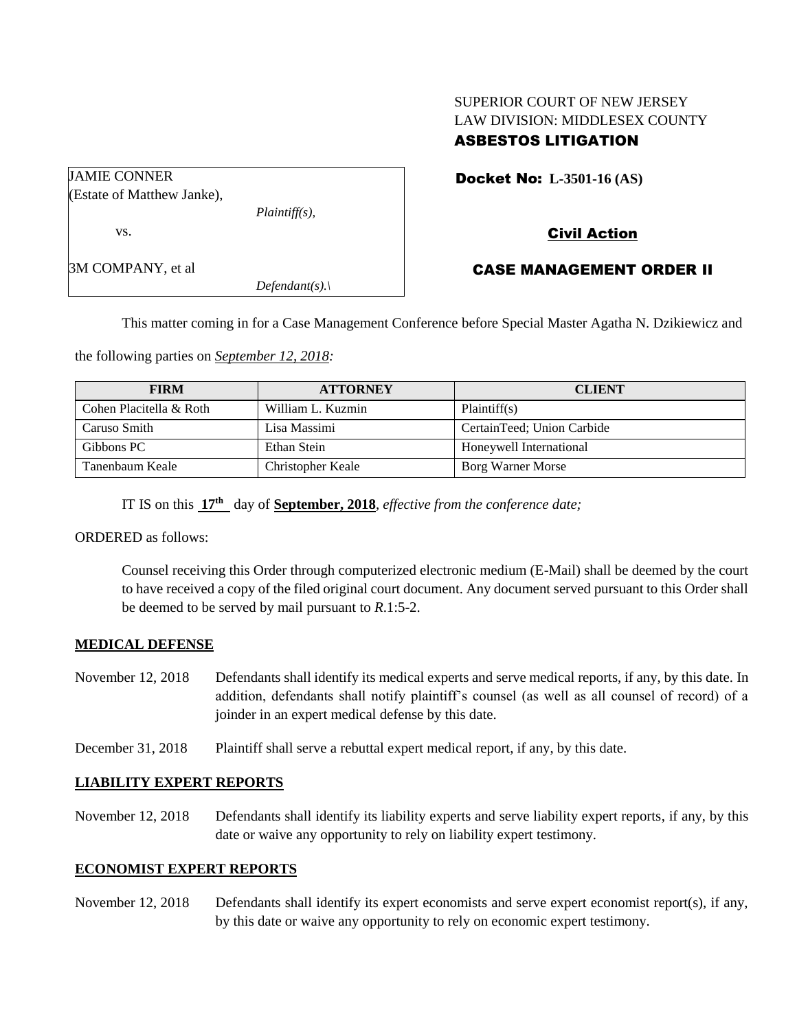## SUPERIOR COURT OF NEW JERSEY LAW DIVISION: MIDDLESEX COUNTY ASBESTOS LITIGATION

|  |  | <b>Docket No: L-3501-16 (AS)</b> |
|--|--|----------------------------------|
|--|--|----------------------------------|

# Civil Action

3M COMPANY, et al

(Estate of Matthew Janke),

JAMIE CONNER

vs.

### CASE MANAGEMENT ORDER II

This matter coming in for a Case Management Conference before Special Master Agatha N. Dzikiewicz and

the following parties on *September 12, 2018:*

*Plaintiff(s),*

*Defendant(s).\*

| <b>FIRM</b>             | <b>ATTORNEY</b>   | <b>CLIENT</b>              |
|-------------------------|-------------------|----------------------------|
| Cohen Placitella & Roth | William L. Kuzmin | Plaintiff(s)               |
| Caruso Smith            | Lisa Massimi      | CertainTeed; Union Carbide |
| Gibbons PC              | Ethan Stein       | Honeywell International    |
| Tanenbaum Keale         | Christopher Keale | Borg Warner Morse          |

IT IS on this **17 th** day of **September, 2018**, *effective from the conference date;*

ORDERED as follows:

Counsel receiving this Order through computerized electronic medium (E-Mail) shall be deemed by the court to have received a copy of the filed original court document. Any document served pursuant to this Order shall be deemed to be served by mail pursuant to *R*.1:5-2.

#### **MEDICAL DEFENSE**

- November 12, 2018 Defendants shall identify its medical experts and serve medical reports, if any, by this date. In addition, defendants shall notify plaintiff's counsel (as well as all counsel of record) of a joinder in an expert medical defense by this date.
- December 31, 2018 Plaintiff shall serve a rebuttal expert medical report, if any, by this date.

#### **LIABILITY EXPERT REPORTS**

November 12, 2018 Defendants shall identify its liability experts and serve liability expert reports, if any, by this date or waive any opportunity to rely on liability expert testimony.

#### **ECONOMIST EXPERT REPORTS**

November 12, 2018 Defendants shall identify its expert economists and serve expert economist report(s), if any, by this date or waive any opportunity to rely on economic expert testimony.